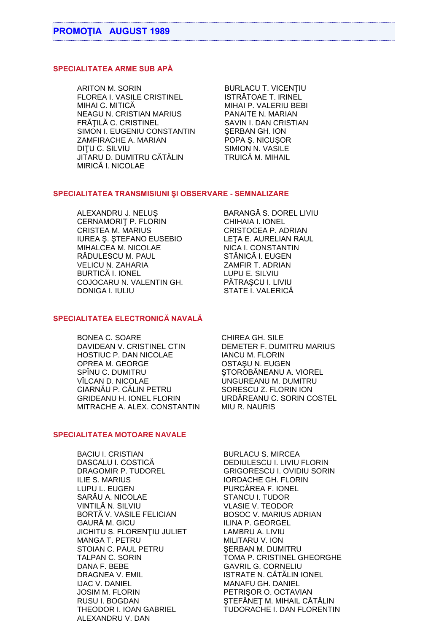## **SPECIALITATEA ARME SUB APĂ**

ARITON M. SORIN BURLACU T. VICENTIU FLOREA I. VASILE CRISTINEL ISTRĂTOAE T. IRINEL NEAGU N. CRISTIAN MARIUS PANAITE N. MARIAN FRĂȚILĂ C. CRISTINEL SAVIN I. DAN CRISTIAN SIMON I. EUGENIU CONSTANTIN SERBAN GH. ION ZAMFIRACHE A. MARIAN POPA Ş. NICUŞOR DIȚU C. SILVIU SIMION N. VASILE JITARU D. DUMITRU CĂTĂLIN TRUICĂ M. MIHAIL MIRICĂ I. NICOLAE

MIHAI P. VALERIU BEBI

#### **SPECIALITATEA TRANSMISIUNI ŞI OBSERVARE - SEMNALIZARE**

ALEXANDRU J. NELUŞ BARANGĂ S. DOREL LIVIU CERNAMORIT P. FLORIN CHIHAIA I. IONEL CRISTEA M. MARIUS CRISTOCEA P. ADRIAN IUREA Ş. ŞTEFANO EUSEBIO LEŢA E. AURELIAN RAUL MIHALCEA M. NICOLAE NICA I. CONSTANTIN RĂDULESCU M. PAUL STĂNICĂ I. EUGEN VELICU N. ZAHARIA ZAMFIR T. ADRIAN BURTICĂ I. IONEL LUPU E. SILVIU COJOCARU N. VALENTIN GH. PĂTRAŞCU I. LIVIU DONIGA I. IULIU STATE I. VALERICĂ

### **SPECIALITATEA ELECTRONICĂ NAVALĂ**

BONEA C. SOARE CHIREA GH. SILE DAVIDEAN V. CRISTINEL CTIN DEMETER F. DUMITRU MARIUS HOSTIUC P. DAN NICOLAE IANCU M. FLORIN OPREA M. GEORGE OSTAŞU N. EUGEN SPÎNU C. DUMITRU ŞTOROBĂNEANU A. VIOREL VÎLCAN D. NICOLAE UNGUREANU M. DUMITRU CIARNĂU P. CĂLIN PETRU SORESCU Z. FLORIN ION GRIDEANU H. IONEL FLORIN URDĂREANU C. SORIN COSTEL MITRACHE A. ALEX. CONSTANTIN MIU R. NAURIS

### **SPECIALITATEA MOTOARE NAVALE**

BACIU I. CRISTIAN BURLACU S. MIRCEA DASCALU I. COSTICĂ DEDIULESCU I. LIVIU FLORIN ILIE S. MARIUS **IORDACHE GH. FLORIN** LUPU L. EUGEN PURCĂREA F. IONEL SARĂU A. NICOLAE STANCU I. TUDOR BORTĂ V. VASILE FELICIAN BOSOC V. MARIUS ADRIAN GAURĂ M. GICU ILINA P. GEORGEL JICHITU S. FLORENTIU JULIET LAMBRU A. LIVIU MANGA T. PETRU MILITARU V. ION STOIAN C. PAUL PETRU SERBAN M. DUMITRU DANA F. BEBE GAVRIL G. CORNELIU DRAGNEA V. EMIL ISTRATE N. CĂTĂLIN IONEL IJAC V. DANIEL MANAFU GH. DANIEL JOSIM M. FLORIN PETRIŞOR O. OCTAVIAN ALEXANDRU V. DAN

DRAGOMIR P. TUDOREL GRIGORESCU I. OVIDIU SORIN VLASIE V. TEODOR TALPAN C. SORIN TOMA P. CRISTINEL GHEORGHE RUSU I. BOGDAN ŞTEFĂNEŢ M. MIHAIL CĂTĂLIN THEODOR I. IOAN GABRIEL TUDORACHE I. DAN FLORENTIN